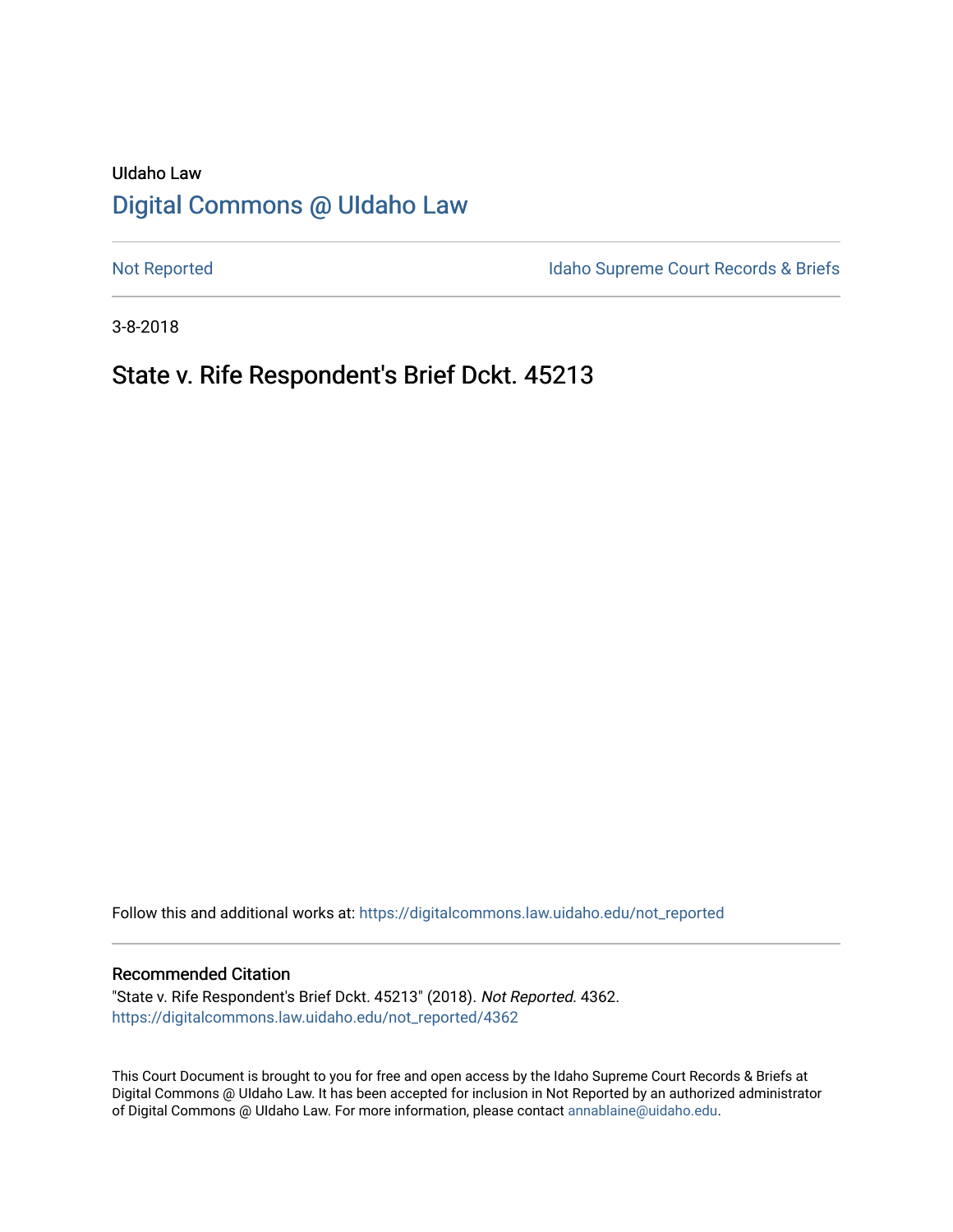# UIdaho Law [Digital Commons @ UIdaho Law](https://digitalcommons.law.uidaho.edu/)

[Not Reported](https://digitalcommons.law.uidaho.edu/not_reported) **Idaho Supreme Court Records & Briefs** 

3-8-2018

## State v. Rife Respondent's Brief Dckt. 45213

Follow this and additional works at: [https://digitalcommons.law.uidaho.edu/not\\_reported](https://digitalcommons.law.uidaho.edu/not_reported?utm_source=digitalcommons.law.uidaho.edu%2Fnot_reported%2F4362&utm_medium=PDF&utm_campaign=PDFCoverPages) 

#### Recommended Citation

"State v. Rife Respondent's Brief Dckt. 45213" (2018). Not Reported. 4362. [https://digitalcommons.law.uidaho.edu/not\\_reported/4362](https://digitalcommons.law.uidaho.edu/not_reported/4362?utm_source=digitalcommons.law.uidaho.edu%2Fnot_reported%2F4362&utm_medium=PDF&utm_campaign=PDFCoverPages)

This Court Document is brought to you for free and open access by the Idaho Supreme Court Records & Briefs at Digital Commons @ UIdaho Law. It has been accepted for inclusion in Not Reported by an authorized administrator of Digital Commons @ UIdaho Law. For more information, please contact [annablaine@uidaho.edu](mailto:annablaine@uidaho.edu).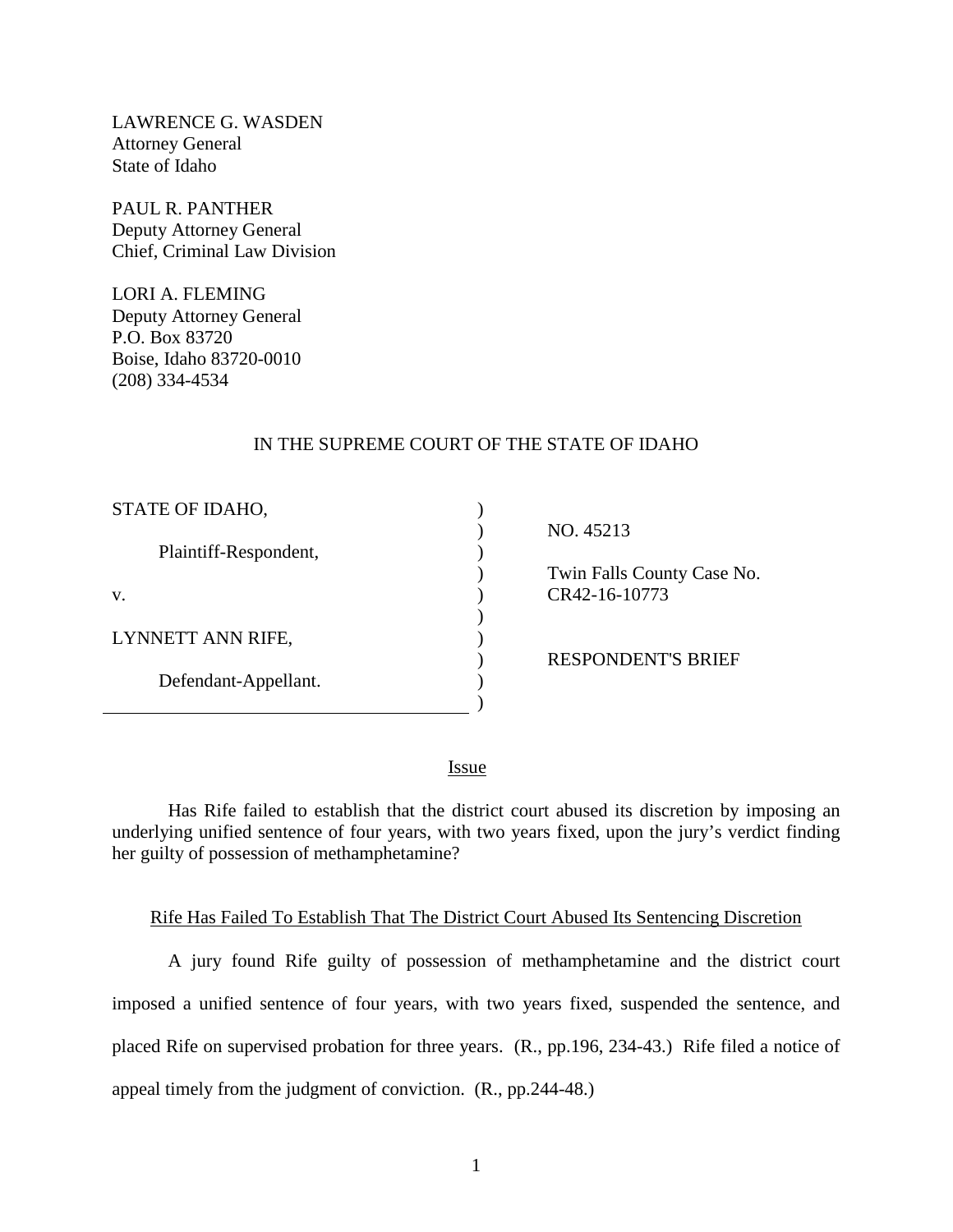LAWRENCE G. WASDEN Attorney General State of Idaho

PAUL R. PANTHER Deputy Attorney General Chief, Criminal Law Division

LORI A. FLEMING Deputy Attorney General P.O. Box 83720 Boise, Idaho 83720-0010 (208) 334-4534

### IN THE SUPREME COURT OF THE STATE OF IDAHO

| STATE OF IDAHO,       |  |
|-----------------------|--|
| Plaintiff-Respondent, |  |
| V.                    |  |
| LYNNETT ANN RIFE,     |  |
| Defendant-Appellant.  |  |

NO. 45213

 Twin Falls County Case No. CR42-16-10773

RESPONDENT'S BRIEF

**Issue** 

) )

Has Rife failed to establish that the district court abused its discretion by imposing an underlying unified sentence of four years, with two years fixed, upon the jury's verdict finding her guilty of possession of methamphetamine?

### Rife Has Failed To Establish That The District Court Abused Its Sentencing Discretion

A jury found Rife guilty of possession of methamphetamine and the district court imposed a unified sentence of four years, with two years fixed, suspended the sentence, and placed Rife on supervised probation for three years. (R., pp.196, 234-43.) Rife filed a notice of appeal timely from the judgment of conviction. (R., pp.244-48.)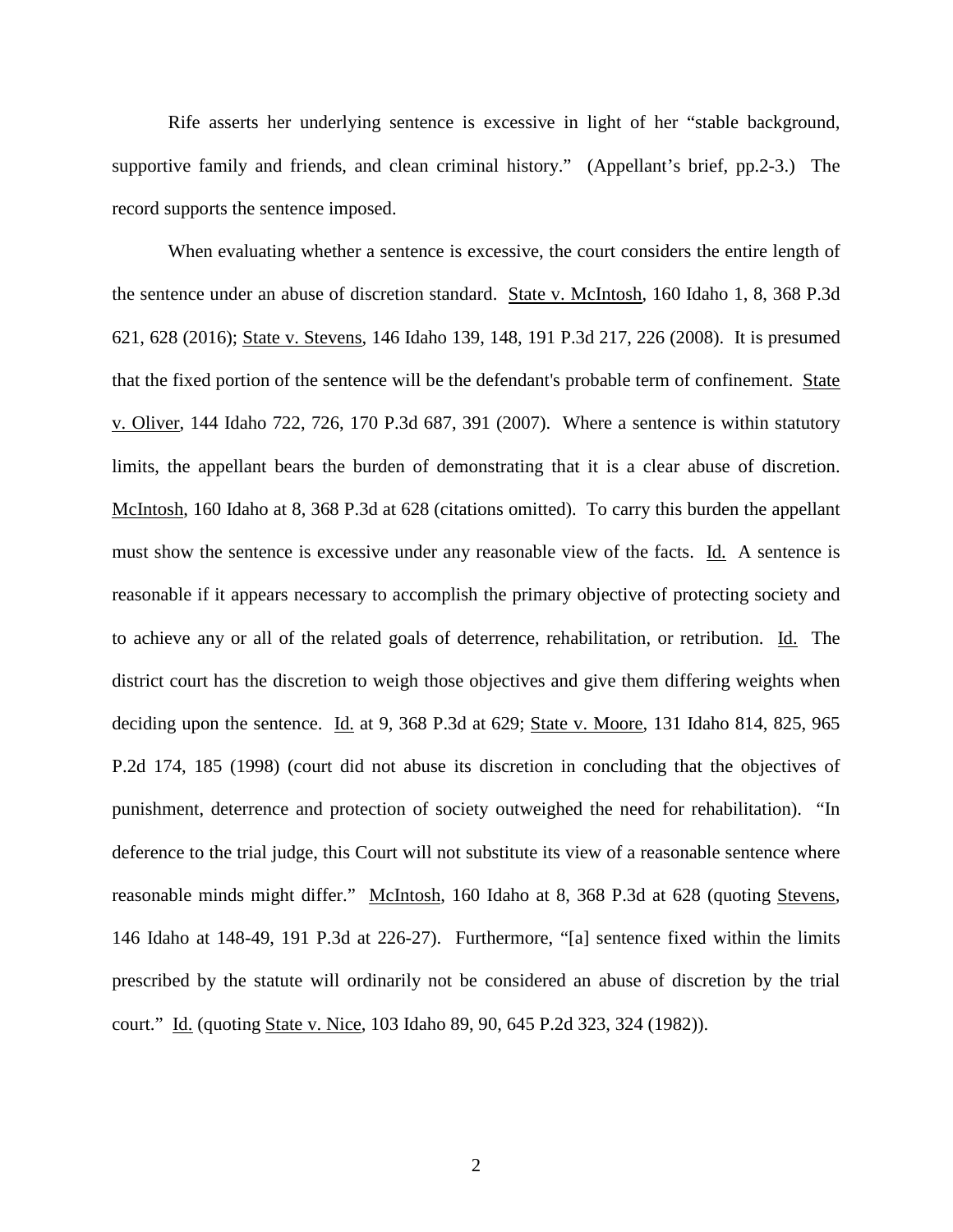Rife asserts her underlying sentence is excessive in light of her "stable background, supportive family and friends, and clean criminal history." (Appellant's brief, pp.2-3.) The record supports the sentence imposed.

When evaluating whether a sentence is excessive, the court considers the entire length of the sentence under an abuse of discretion standard. State v. McIntosh, 160 Idaho 1, 8, 368 P.3d 621, 628 (2016); State v. Stevens, 146 Idaho 139, 148, 191 P.3d 217, 226 (2008). It is presumed that the fixed portion of the sentence will be the defendant's probable term of confinement. State v. Oliver, 144 Idaho 722, 726, 170 P.3d 687, 391 (2007). Where a sentence is within statutory limits, the appellant bears the burden of demonstrating that it is a clear abuse of discretion. McIntosh, 160 Idaho at 8, 368 P.3d at 628 (citations omitted). To carry this burden the appellant must show the sentence is excessive under any reasonable view of the facts. Id. A sentence is reasonable if it appears necessary to accomplish the primary objective of protecting society and to achieve any or all of the related goals of deterrence, rehabilitation, or retribution. Id. The district court has the discretion to weigh those objectives and give them differing weights when deciding upon the sentence. Id. at 9, 368 P.3d at 629; State v. Moore, 131 Idaho 814, 825, 965 P.2d 174, 185 (1998) (court did not abuse its discretion in concluding that the objectives of punishment, deterrence and protection of society outweighed the need for rehabilitation). "In deference to the trial judge, this Court will not substitute its view of a reasonable sentence where reasonable minds might differ." McIntosh, 160 Idaho at 8, 368 P.3d at 628 (quoting Stevens, 146 Idaho at 148-49, 191 P.3d at 226-27). Furthermore, "[a] sentence fixed within the limits prescribed by the statute will ordinarily not be considered an abuse of discretion by the trial court." Id. (quoting State v. Nice, 103 Idaho 89, 90, 645 P.2d 323, 324 (1982)).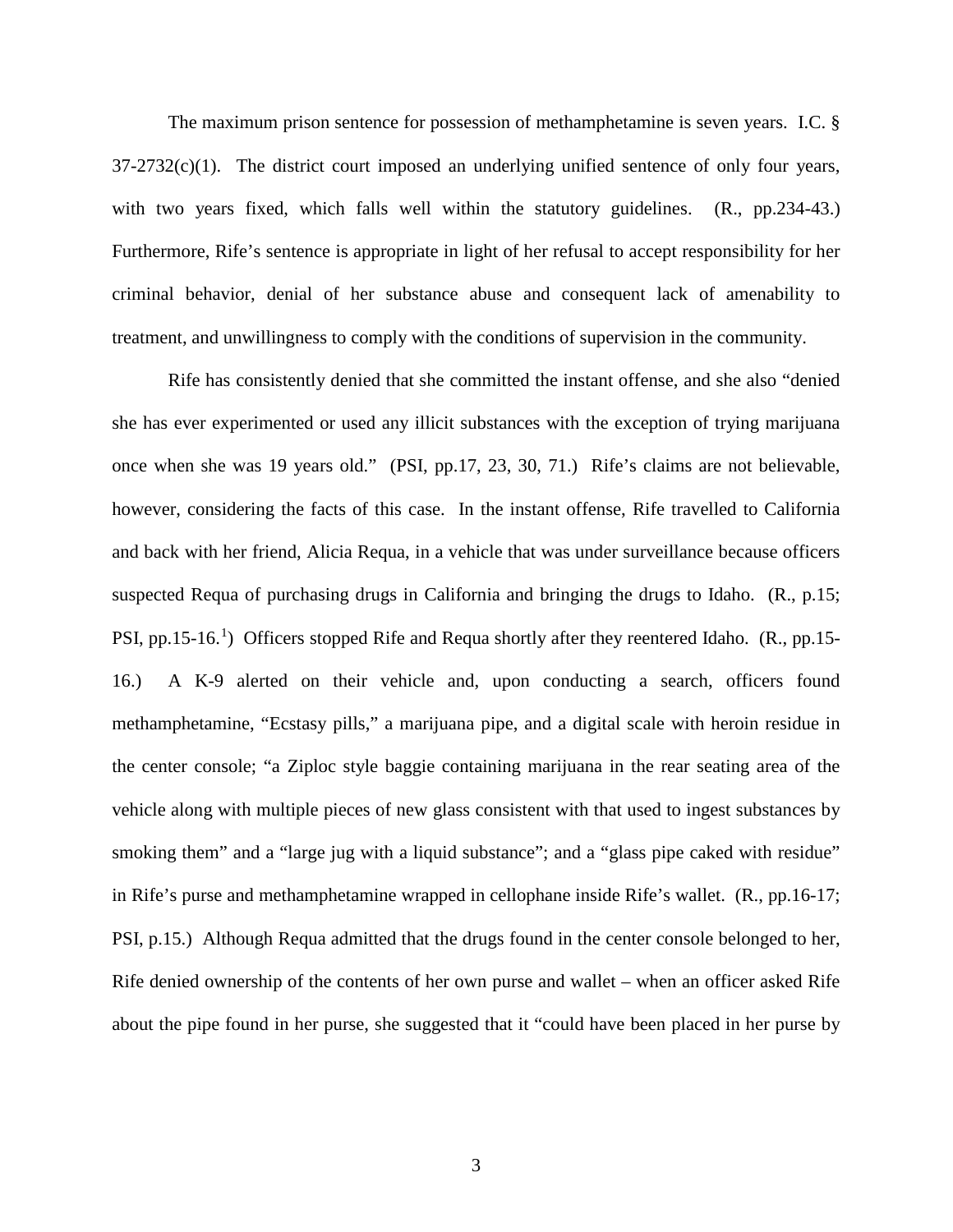The maximum prison sentence for possession of methamphetamine is seven years. I.C. §  $37-2732(c)(1)$ . The district court imposed an underlying unified sentence of only four years, with two years fixed, which falls well within the statutory guidelines.  $(R_1, pp.234-43)$ . Furthermore, Rife's sentence is appropriate in light of her refusal to accept responsibility for her criminal behavior, denial of her substance abuse and consequent lack of amenability to treatment, and unwillingness to comply with the conditions of supervision in the community.

<span id="page-3-0"></span>Rife has consistently denied that she committed the instant offense, and she also "denied she has ever experimented or used any illicit substances with the exception of trying marijuana once when she was 19 years old." (PSI, pp.17, 23, 30, 71.) Rife's claims are not believable, however, considering the facts of this case. In the instant offense, Rife travelled to California and back with her friend, Alicia Requa, in a vehicle that was under surveillance because officers suspected Requa of purchasing drugs in California and bringing the drugs to Idaho. (R., p.15; PSI, pp.[1](#page-3-0)5-16.<sup>1</sup>) Officers stopped Rife and Requa shortly after they reentered Idaho. (R., pp.15-16.) A K-9 alerted on their vehicle and, upon conducting a search, officers found methamphetamine, "Ecstasy pills," a marijuana pipe, and a digital scale with heroin residue in the center console; "a Ziploc style baggie containing marijuana in the rear seating area of the vehicle along with multiple pieces of new glass consistent with that used to ingest substances by smoking them" and a "large jug with a liquid substance"; and a "glass pipe caked with residue" in Rife's purse and methamphetamine wrapped in cellophane inside Rife's wallet. (R., pp.16-17; PSI, p.15.) Although Requa admitted that the drugs found in the center console belonged to her, Rife denied ownership of the contents of her own purse and wallet – when an officer asked Rife about the pipe found in her purse, she suggested that it "could have been placed in her purse by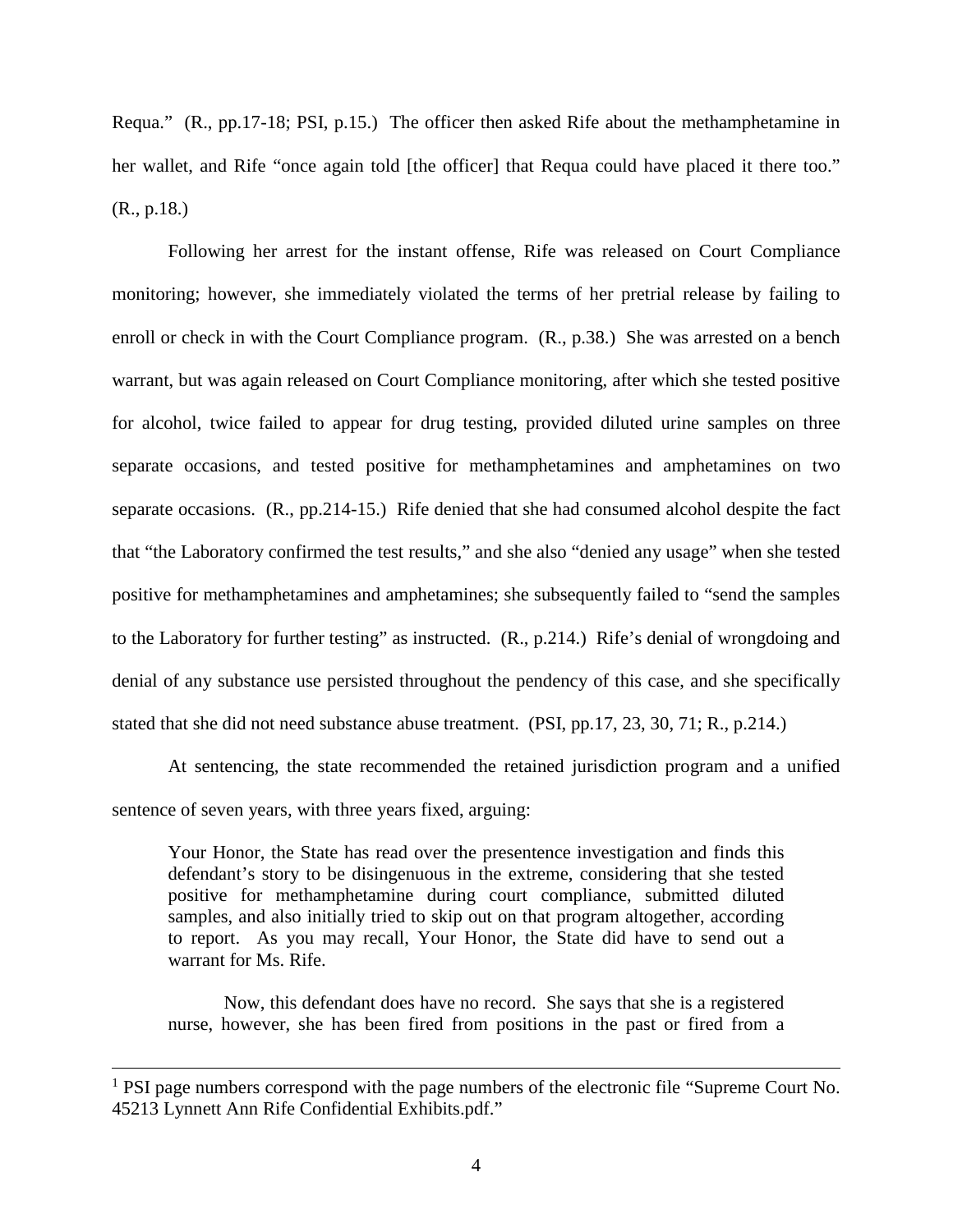Requa." (R., pp.17-18; PSI, p.15.) The officer then asked Rife about the methamphetamine in her wallet, and Rife "once again told [the officer] that Requa could have placed it there too." (R., p.18.)

Following her arrest for the instant offense, Rife was released on Court Compliance monitoring; however, she immediately violated the terms of her pretrial release by failing to enroll or check in with the Court Compliance program. (R., p.38.) She was arrested on a bench warrant, but was again released on Court Compliance monitoring, after which she tested positive for alcohol, twice failed to appear for drug testing, provided diluted urine samples on three separate occasions, and tested positive for methamphetamines and amphetamines on two separate occasions. (R., pp.214-15.) Rife denied that she had consumed alcohol despite the fact that "the Laboratory confirmed the test results," and she also "denied any usage" when she tested positive for methamphetamines and amphetamines; she subsequently failed to "send the samples to the Laboratory for further testing" as instructed. (R., p.214.) Rife's denial of wrongdoing and denial of any substance use persisted throughout the pendency of this case, and she specifically stated that she did not need substance abuse treatment. (PSI, pp.17, 23, 30, 71; R., p.214.)

At sentencing, the state recommended the retained jurisdiction program and a unified sentence of seven years, with three years fixed, arguing:

Your Honor, the State has read over the presentence investigation and finds this defendant's story to be disingenuous in the extreme, considering that she tested positive for methamphetamine during court compliance, submitted diluted samples, and also initially tried to skip out on that program altogether, according to report. As you may recall, Your Honor, the State did have to send out a warrant for Ms. Rife.

Now, this defendant does have no record. She says that she is a registered nurse, however, she has been fired from positions in the past or fired from a

<sup>&</sup>lt;sup>1</sup> PSI page numbers correspond with the page numbers of the electronic file "Supreme Court No. 45213 Lynnett Ann Rife Confidential Exhibits.pdf."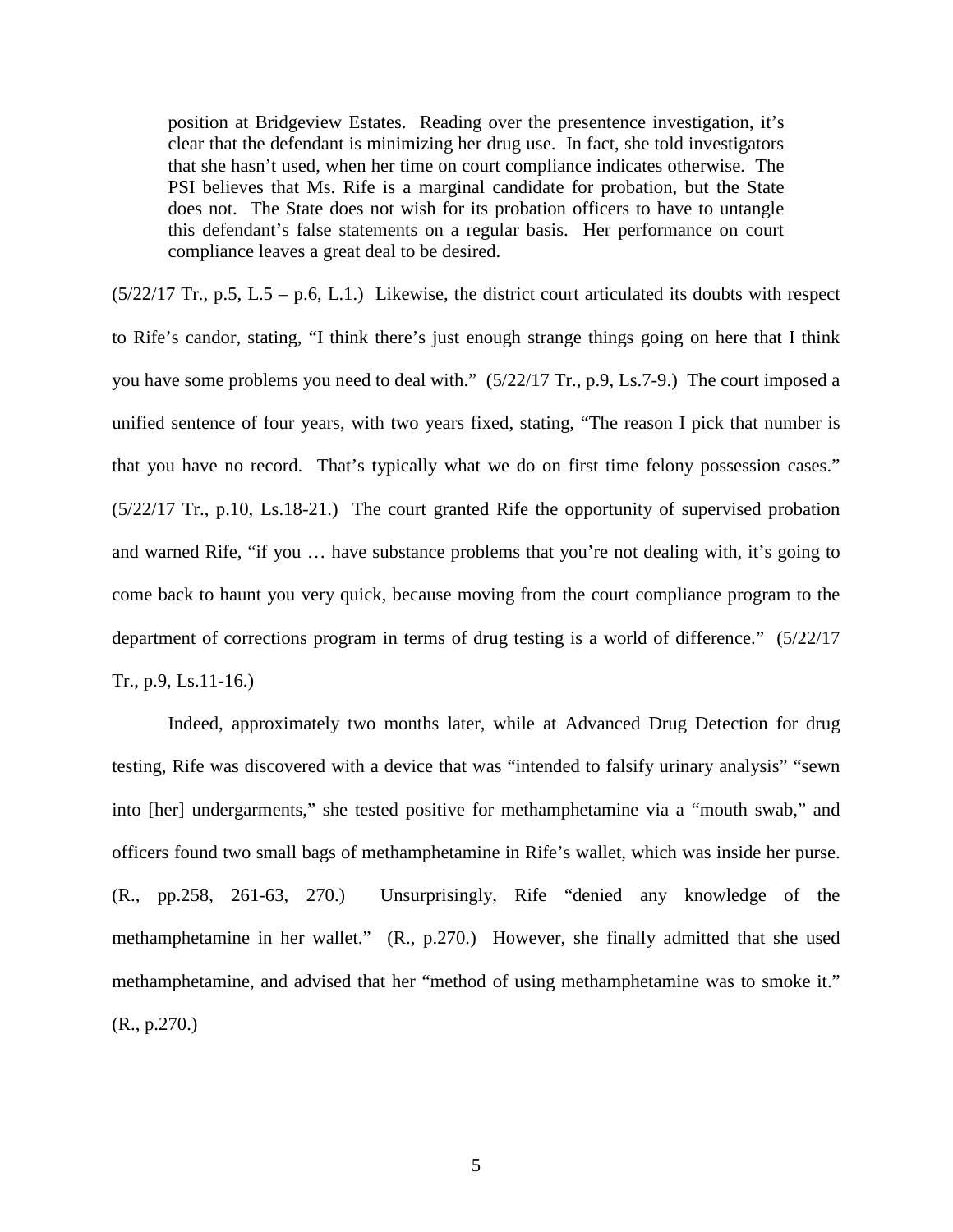position at Bridgeview Estates. Reading over the presentence investigation, it's clear that the defendant is minimizing her drug use. In fact, she told investigators that she hasn't used, when her time on court compliance indicates otherwise. The PSI believes that Ms. Rife is a marginal candidate for probation, but the State does not. The State does not wish for its probation officers to have to untangle this defendant's false statements on a regular basis. Her performance on court compliance leaves a great deal to be desired.

 $(5/22/17$  Tr., p.5, L.5 – p.6, L.1.) Likewise, the district court articulated its doubts with respect to Rife's candor, stating, "I think there's just enough strange things going on here that I think you have some problems you need to deal with." (5/22/17 Tr., p.9, Ls.7-9.) The court imposed a unified sentence of four years, with two years fixed, stating, "The reason I pick that number is that you have no record. That's typically what we do on first time felony possession cases." (5/22/17 Tr., p.10, Ls.18-21.) The court granted Rife the opportunity of supervised probation and warned Rife, "if you … have substance problems that you're not dealing with, it's going to come back to haunt you very quick, because moving from the court compliance program to the department of corrections program in terms of drug testing is a world of difference." (5/22/17 Tr., p.9, Ls.11-16.)

Indeed, approximately two months later, while at Advanced Drug Detection for drug testing, Rife was discovered with a device that was "intended to falsify urinary analysis" "sewn into [her] undergarments," she tested positive for methamphetamine via a "mouth swab," and officers found two small bags of methamphetamine in Rife's wallet, which was inside her purse. (R., pp.258, 261-63, 270.) Unsurprisingly, Rife "denied any knowledge of the methamphetamine in her wallet." (R., p.270.) However, she finally admitted that she used methamphetamine, and advised that her "method of using methamphetamine was to smoke it." (R., p.270.)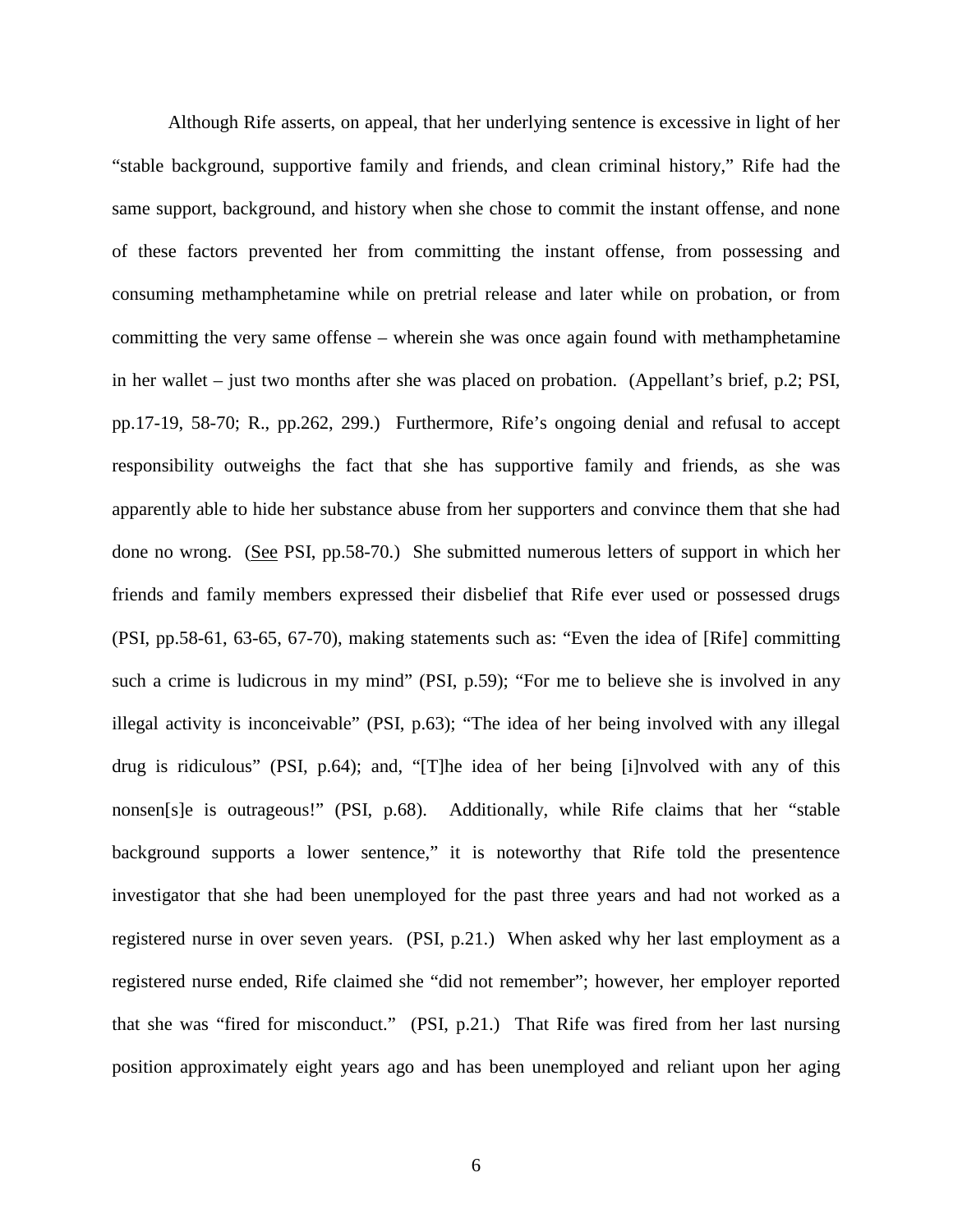Although Rife asserts, on appeal, that her underlying sentence is excessive in light of her "stable background, supportive family and friends, and clean criminal history," Rife had the same support, background, and history when she chose to commit the instant offense, and none of these factors prevented her from committing the instant offense, from possessing and consuming methamphetamine while on pretrial release and later while on probation, or from committing the very same offense – wherein she was once again found with methamphetamine in her wallet – just two months after she was placed on probation. (Appellant's brief, p.2; PSI, pp.17-19, 58-70; R., pp.262, 299.) Furthermore, Rife's ongoing denial and refusal to accept responsibility outweighs the fact that she has supportive family and friends, as she was apparently able to hide her substance abuse from her supporters and convince them that she had done no wrong. (See PSI, pp.58-70.) She submitted numerous letters of support in which her friends and family members expressed their disbelief that Rife ever used or possessed drugs (PSI, pp.58-61, 63-65, 67-70), making statements such as: "Even the idea of [Rife] committing such a crime is ludicrous in my mind" (PSI, p.59); "For me to believe she is involved in any illegal activity is inconceivable" (PSI, p.63); "The idea of her being involved with any illegal drug is ridiculous" (PSI, p.64); and, "[T]he idea of her being [i]nvolved with any of this nonsen[s]e is outrageous!" (PSI, p.68). Additionally, while Rife claims that her "stable background supports a lower sentence," it is noteworthy that Rife told the presentence investigator that she had been unemployed for the past three years and had not worked as a registered nurse in over seven years. (PSI, p.21.) When asked why her last employment as a registered nurse ended, Rife claimed she "did not remember"; however, her employer reported that she was "fired for misconduct." (PSI, p.21.) That Rife was fired from her last nursing position approximately eight years ago and has been unemployed and reliant upon her aging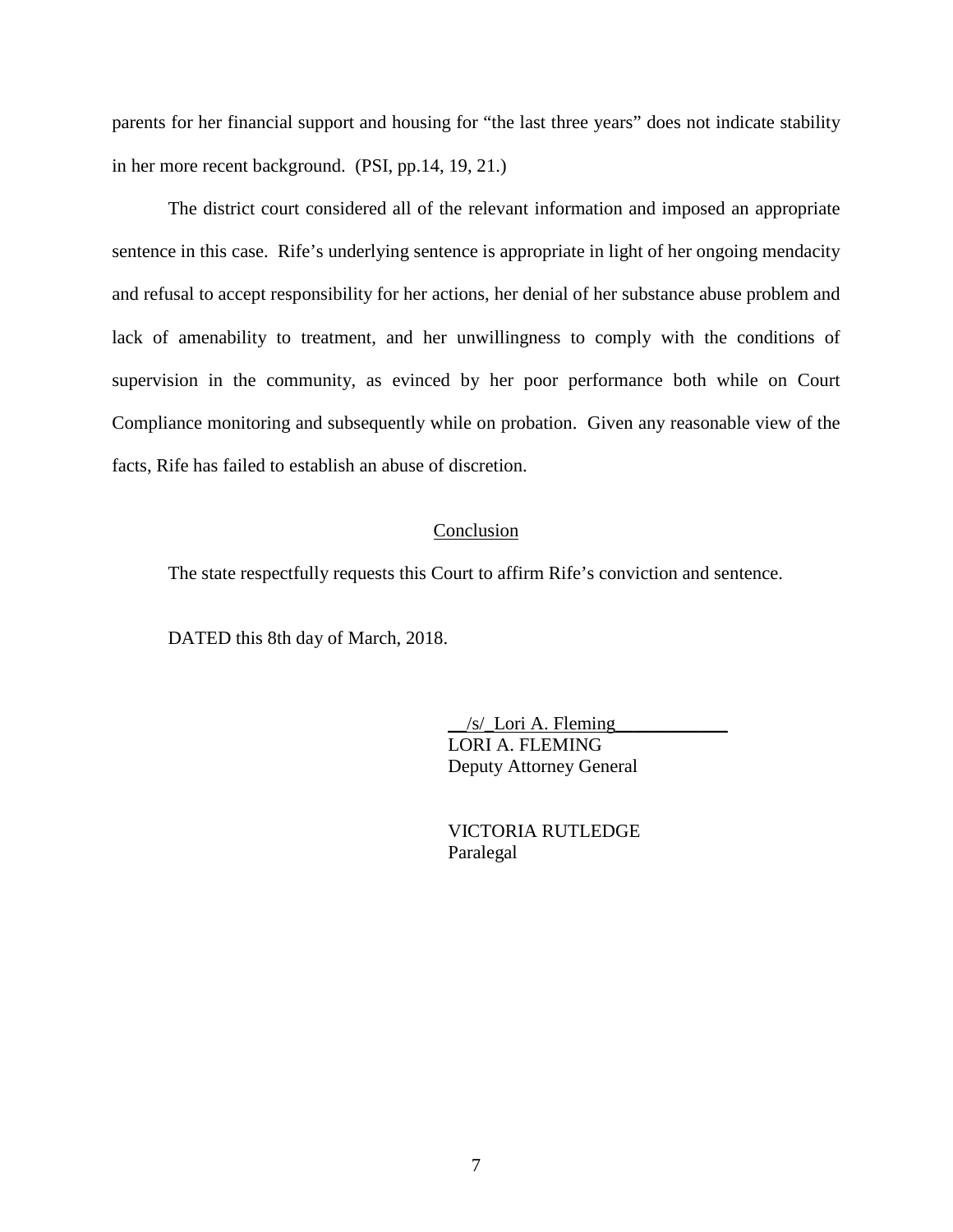parents for her financial support and housing for "the last three years" does not indicate stability in her more recent background. (PSI, pp.14, 19, 21.)

The district court considered all of the relevant information and imposed an appropriate sentence in this case. Rife's underlying sentence is appropriate in light of her ongoing mendacity and refusal to accept responsibility for her actions, her denial of her substance abuse problem and lack of amenability to treatment, and her unwillingness to comply with the conditions of supervision in the community, as evinced by her poor performance both while on Court Compliance monitoring and subsequently while on probation. Given any reasonable view of the facts, Rife has failed to establish an abuse of discretion.

#### **Conclusion**

The state respectfully requests this Court to affirm Rife's conviction and sentence.

DATED this 8th day of March, 2018.

 $/s$  Lori A. Fleming LORI A. FLEMING Deputy Attorney General

VICTORIA RUTLEDGE Paralegal